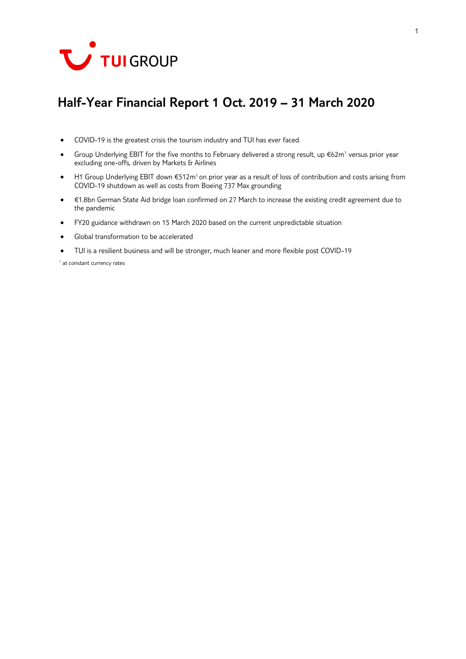

# **Half-Year Financial Report 1 Oct. 2019 – 31 March 2020**

- COVID-19 is the greatest crisis the tourism industry and TUI has ever faced.
- Group Underlying EBIT for the five months to February delivered a strong result, up €62m<sup>1</sup> versus prior year excluding one-offs, driven by Markets & Airlines
- H1 Group Underlying EBIT down €512m<sup>1</sup> on prior year as a result of loss of contribution and costs arising from COVID-19 shutdown as well as costs from Boeing 737 Max grounding
- €1.8bn German State Aid bridge loan confirmed on 27 March to increase the existing credit agreement due to the pandemic
- FY20 guidance withdrawn on 15 March 2020 based on the current unpredictable situation
- Global transformation to be accelerated
- TUI is a resilient business and will be stronger, much leaner and more flexible post COVID-19

<sup>1</sup> at constant currency rates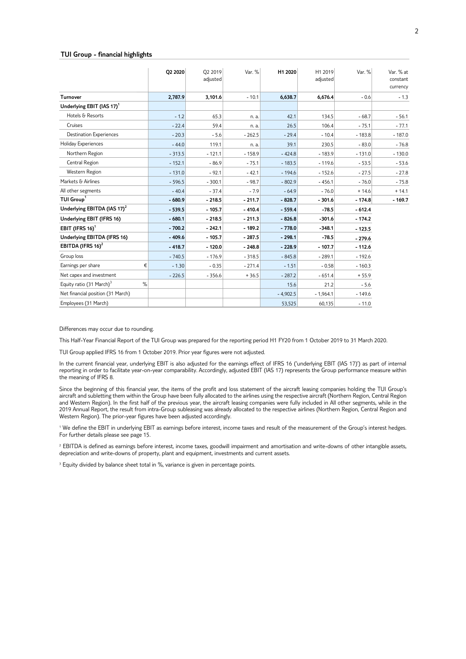#### **TUI Group - financial highlights**

|                                           | 02 2020  | O2 2019<br>adjusted | Var. %   | H1 2020    | H1 2019<br>adjusted | Var. %   | Var. % at<br>constant<br>currency |
|-------------------------------------------|----------|---------------------|----------|------------|---------------------|----------|-----------------------------------|
| <b>Turnover</b>                           | 2,787.9  | 3,101.6             | $-10.1$  | 6,638.7    | 6,676.4             | $-0.6$   | $-1.3$                            |
| Underlying EBIT (IAS 17) <sup>1</sup>     |          |                     |          |            |                     |          |                                   |
| Hotels & Resorts                          | $-1.2$   | 65.3                | n. a.    | 42.1       | 134.5               | $-68.7$  | $-56.1$                           |
| Cruises                                   | $-22.4$  | 59.4                | n. a.    | 26.5       | 106.4               | $-75.1$  | $-77.1$                           |
| <b>Destination Experiences</b>            | $-20.3$  | $-5.6$              | $-262.5$ | $-29.4$    | $-10.4$             | $-183.8$ | $-187.0$                          |
| Holiday Experiences                       | $-44.0$  | 119.1               | n. a.    | 39.1       | 230.5               | $-83.0$  | $-76.8$                           |
| Northern Region                           | $-313.5$ | $-121.1$            | $-158.9$ | $-424.8$   | $-183.9$            | $-131.0$ | $-130.0$                          |
| Central Region                            | $-152.1$ | $-86.9$             | $-75.1$  | $-183.5$   | $-119.6$            | $-53.5$  | $-53.6$                           |
| Western Region                            | $-131.0$ | $-92.1$             | $-42.1$  | $-194.6$   | $-152.6$            | $-27.5$  | $-27.8$                           |
| Markets & Airlines                        | $-596.5$ | $-300.1$            | $-98.7$  | $-802.9$   | $-456.1$            | $-76.0$  | $-75.8$                           |
| All other segments                        | $-40.4$  | $-37.4$             | $-7.9$   | $-64.9$    | $-76.0$             | $+14.6$  | $+14.1$                           |
| TUI Group <sup>1</sup>                    | $-680.9$ | $-218.5$            | $-211.7$ | $-828.7$   | $-301.6$            | $-174.8$ | $-169.7$                          |
| Underlying EBITDA (IAS 17) <sup>2</sup>   | $-539.5$ | $-105.7$            | $-410.4$ | $-559.4$   | $-78.5$             | $-612.4$ |                                   |
| Underlying EBIT (IFRS 16)                 | $-680.1$ | $-218.5$            | $-211.3$ | $-826.8$   | $-301.6$            | $-174.2$ |                                   |
| EBIT (IFRS $16$ ) <sup>1</sup>            | $-700.2$ | $-242.1$            | $-189.2$ | $-778.0$   | $-348.1$            | $-123.5$ |                                   |
| Underlying EBITDA (IFRS 16)               | $-409.6$ | $-105.7$            | $-287.5$ | $-298.1$   | $-78.5$             | $-279.6$ |                                   |
| EBITDA (IFRS $16)^2$                      | $-418.7$ | $-120.0$            | $-248.8$ | $-228.9$   | $-107.7$            | $-112.6$ |                                   |
| Group loss                                | $-740.5$ | $-176.9$            | $-318.5$ | $-845.8$   | $-289.1$            | $-192.6$ |                                   |
| Earnings per share<br>€                   | $-1.30$  | $-0.35$             | $-271.4$ | $-1.51$    | $-0.58$             | $-160.3$ |                                   |
| Net capex and investment                  | $-226.5$ | $-356.6$            | $+36.5$  | $-287.2$   | $-651.4$            | $+55.9$  |                                   |
| Equity ratio (31 March) <sup>3</sup><br>% |          |                     |          | 15.6       | 21.2                | $-5.6$   |                                   |
| Net financial position (31 March)         |          |                     |          | $-4,902.5$ | $-1,964.1$          | $-149.6$ |                                   |
| Employees (31 March)                      |          |                     |          | 53,525     | 60,135              | $-11.0$  |                                   |

Differences may occur due to rounding.

This Half-Year Financial Report of the TUI Group was prepared for the reporting period H1 FY20 from 1 October 2019 to 31 March 2020.

TUI Group applied IFRS 16 from 1 October 2019. Prior year figures were not adjusted.

In the current financial year, underlying EBIT is also adjusted for the earnings effect of IFRS 16 ('underlying EBIT (IAS 17)') as part of internal reporting in order to facilitate year-on-year comparability. Accordingly, adjusted EBIT (IAS 17) represents the Group performance measure within the meaning of IFRS 8.

Since the beginning of this financial year, the items of the profit and loss statement of the aircraft leasing companies holding the TUI Group's aircraft and subletting them within the Group have been fully allocated to the airlines using the respective aircraft (Northern Region, Central Region and Western Region). In the first half of the previous year, the aircraft leasing companies were fully included in All other segments, while in the 2019 Annual Report, the result from intra-Group subleasing was already allocated to the respective airlines (Northern Region, Central Region and Western Region). The prior-year figures have been adjusted accordingly.

<sup>1</sup> We define the EBIT in underlying EBIT as earnings before interest, income taxes and result of the measurement of the Group's interest hedges. For further details please see page 15.

<sup>2</sup> EBITDA is defined as earnings before interest, income taxes, goodwill impairment and amortisation and write-downs of other intangible assets, depreciation and write-downs of property, plant and equipment, investments and current assets.

<sup>3</sup> Equity divided by balance sheet total in %, variance is given in percentage points.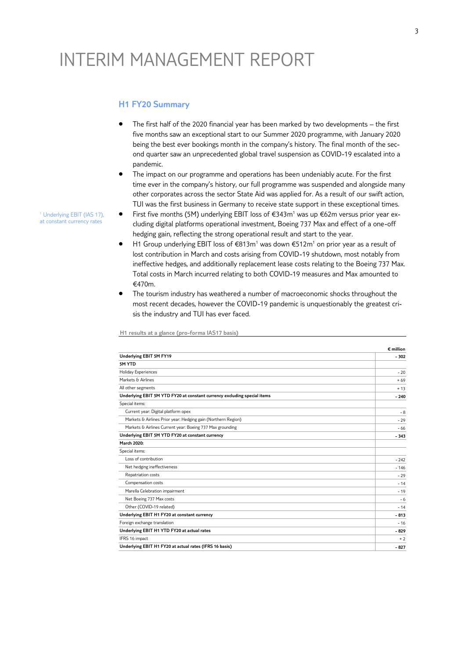# INTERIM MANAGEMENT REPORT

# **H1 FY20 Summary**

- The first half of the 2020 financial year has been marked by two developments the first five months saw an exceptional start to our Summer 2020 programme, with January 2020 being the best ever bookings month in the company's history. The final month of the second quarter saw an unprecedented global travel suspension as COVID-19 escalated into a pandemic.
- The impact on our programme and operations has been undeniably acute. For the first time ever in the company's history, our full programme was suspended and alongside many other corporates across the sector State Aid was applied for. As a result of our swift action, TUI was the first business in Germany to receive state support in these exceptional times.
- First five months (5M) underlying EBIT loss of €343m<sup>1</sup> was up €62m versus prior year excluding digital platforms operational investment, Boeing 737 Max and effect of a one-off hedging gain, reflecting the strong operational result and start to the year.
- H1 Group underlying EBIT loss of €813m<sup>1</sup> was down €512m<sup>1</sup> on prior year as a result of lost contribution in March and costs arising from COVID-19 shutdown, most notably from ineffective hedges, and additionally replacement lease costs relating to the Boeing 737 Max. Total costs in March incurred relating to both COVID-19 measures and Max amounted to €470m.
- The tourism industry has weathered a number of macroeconomic shocks throughout the most recent decades, however the COVID-19 pandemic is unquestionably the greatest crisis the industry and TUI has ever faced.

**H1 results at a glance (pro-forma IAS17 basis)**

|                                                                          | $\epsilon$ million |  |  |
|--------------------------------------------------------------------------|--------------------|--|--|
| Underlying EBIT 5M FY19                                                  | $-302$             |  |  |
| 5M YTD                                                                   |                    |  |  |
| Holiday Experiences                                                      | $-20$              |  |  |
| Markets & Airlines                                                       | $+69$              |  |  |
| All other segments                                                       | $+13$              |  |  |
| Underlying EBIT 5M YTD FY20 at constant currency excluding special items | $-240$             |  |  |
| Special items:                                                           |                    |  |  |
| Current year: Digital platform opex                                      | $-8$               |  |  |
| Markets & Airlines Prior year: Hedging gain (Northern Region)            | $-29$              |  |  |
| Markets & Airlines Current year: Boeing 737 Max grounding                | $-66$              |  |  |
| Underlying EBIT 5M YTD FY20 at constant currency                         | $-343$             |  |  |
| March 2020:                                                              |                    |  |  |
| Special items:                                                           |                    |  |  |
| Loss of contribution                                                     | $-242$             |  |  |
| Net hedging ineffectiveness                                              | $-146$             |  |  |
| Repatriation costs                                                       | $-29$              |  |  |
| Compensation costs                                                       | $-14$              |  |  |
| Marella Celebration impairment                                           | $-19$              |  |  |
| Net Boeing 737 Max costs                                                 | $-6$               |  |  |
| Other (COVID-19 related)                                                 | $-14$              |  |  |
| Underlying EBIT H1 FY20 at constant currency                             | $-813$             |  |  |
| Foreign exchange translation                                             | $-16$              |  |  |
| Underlying EBIT H1 YTD FY20 at actual rates                              | $-829$             |  |  |
| IFRS 16 impact                                                           | $+2$               |  |  |
| Underlying EBIT H1 FY20 at actual rates (IFRS 16 basis)                  |                    |  |  |

<sup>1</sup> Underlying EBIT (IAS 17), at constant currency rates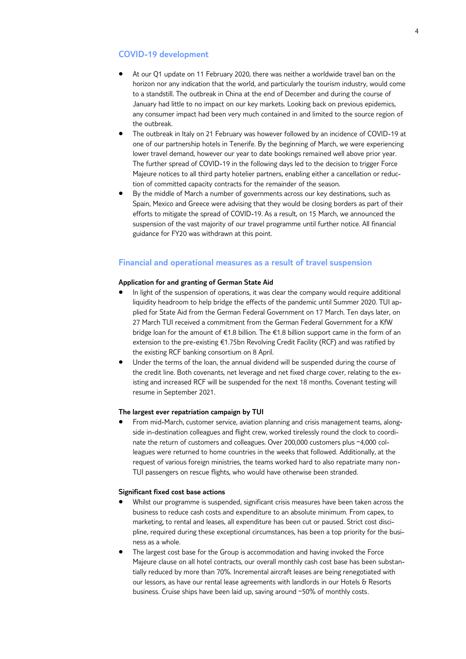## **COVID-19 development**

- At our Q1 update on 11 February 2020, there was neither a worldwide travel ban on the horizon nor any indication that the world, and particularly the tourism industry, would come to a standstill. The outbreak in China at the end of December and during the course of January had little to no impact on our key markets. Looking back on previous epidemics, any consumer impact had been very much contained in and limited to the source region of the outbreak.
- The outbreak in Italy on 21 February was however followed by an incidence of COVID-19 at one of our partnership hotels in Tenerife. By the beginning of March, we were experiencing lower travel demand, however our year to date bookings remained well above prior year. The further spread of COVID-19 in the following days led to the decision to trigger Force Majeure notices to all third party hotelier partners, enabling either a cancellation or reduction of committed capacity contracts for the remainder of the season.
- By the middle of March a number of governments across our key destinations, such as Spain, Mexico and Greece were advising that they would be closing borders as part of their efforts to mitigate the spread of COVID-19. As a result, on 15 March, we announced the suspension of the vast majority of our travel programme until further notice. All financial guidance for FY20 was withdrawn at this point.

# **Financial and operational measures as a result of travel suspension**

#### **Application for and granting of German State Aid**

- In light of the suspension of operations, it was clear the company would require additional liquidity headroom to help bridge the effects of the pandemic until Summer 2020. TUI applied for State Aid from the German Federal Government on 17 March. Ten days later, on 27 March TUI received a commitment from the German Federal Government for a KfW bridge loan for the amount of €1.8 billion. The €1.8 billion support came in the form of an extension to the pre-existing  $\epsilon$ 1.75bn Revolving Credit Facility (RCF) and was ratified by the existing RCF banking consortium on 8 April.
- Under the terms of the loan, the annual dividend will be suspended during the course of the credit line. Both covenants, net leverage and net fixed charge cover, relating to the existing and increased RCF will be suspended for the next 18 months. Covenant testing will resume in September 2021.

#### **The largest ever repatriation campaign by TUI**

 From mid-March, customer service, aviation planning and crisis management teams, alongside in-destination colleagues and flight crew, worked tirelessly round the clock to coordinate the return of customers and colleagues. Over 200,000 customers plus ~4,000 colleagues were returned to home countries in the weeks that followed. Additionally, at the request of various foreign ministries, the teams worked hard to also repatriate many non-TUI passengers on rescue flights, who would have otherwise been stranded.

### **Significant fixed cost base actions**

- Whilst our programme is suspended, significant crisis measures have been taken across the business to reduce cash costs and expenditure to an absolute minimum. From capex, to marketing, to rental and leases, all expenditure has been cut or paused. Strict cost discipline, required during these exceptional circumstances, has been a top priority for the business as a whole.
- The largest cost base for the Group is accommodation and having invoked the Force Majeure clause on all hotel contracts, our overall monthly cash cost base has been substantially reduced by more than 70%. Incremental aircraft leases are being renegotiated with our lessors, as have our rental lease agreements with landlords in our Hotels & Resorts business. Cruise ships have been laid up, saving around ~50% of monthly costs.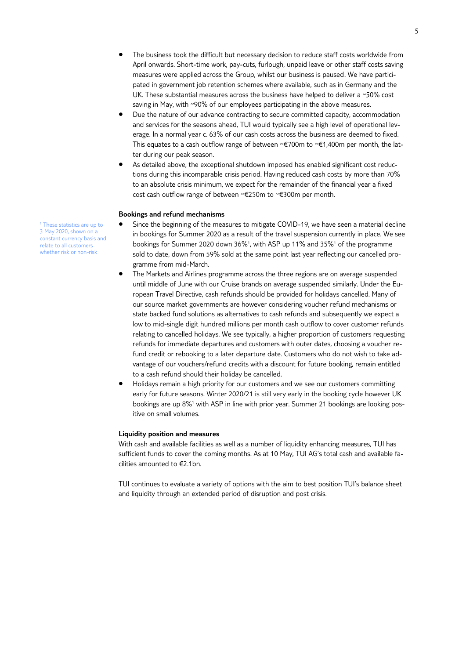- The business took the difficult but necessary decision to reduce staff costs worldwide from April onwards. Short-time work, pay-cuts, furlough, unpaid leave or other staff costs saving measures were applied across the Group, whilst our business is paused. We have participated in government job retention schemes where available, such as in Germany and the UK. These substantial measures across the business have helped to deliver a ~50% cost saving in May, with ~90% of our employees participating in the above measures.
- Due the nature of our advance contracting to secure committed capacity, accommodation and services for the seasons ahead, TUI would typically see a high level of operational leverage. In a normal year c. 63% of our cash costs across the business are deemed to fixed. This equates to a cash outflow range of between ~€700m to ~€1,400m per month, the latter during our peak season.
- As detailed above, the exceptional shutdown imposed has enabled significant cost reductions during this incomparable crisis period. Having reduced cash costs by more than 70% to an absolute crisis minimum, we expect for the remainder of the financial year a fixed cost cash outflow range of between ~€250m to ~€300m per month.

#### **Bookings and refund mechanisms**

- Since the beginning of the measures to mitigate COVID-19, we have seen a material decline in bookings for Summer 2020 as a result of the travel suspension currently in place. We see bookings for Summer 2020 down 36%<sup>1</sup> , with ASP up 11% and 35%<sup>1</sup> of the programme sold to date, down from 59% sold at the same point last year reflecting our cancelled programme from mid-March.
- The Markets and Airlines programme across the three regions are on average suspended until middle of June with our Cruise brands on average suspended similarly. Under the European Travel Directive, cash refunds should be provided for holidays cancelled. Many of our source market governments are however considering voucher refund mechanisms or state backed fund solutions as alternatives to cash refunds and subsequently we expect a low to mid-single digit hundred millions per month cash outflow to cover customer refunds relating to cancelled holidays. We see typically, a higher proportion of customers requesting refunds for immediate departures and customers with outer dates, choosing a voucher refund credit or rebooking to a later departure date. Customers who do not wish to take advantage of our vouchers/refund credits with a discount for future booking, remain entitled to a cash refund should their holiday be cancelled.
- Holidays remain a high priority for our customers and we see our customers committing early for future seasons. Winter 2020/21 is still very early in the booking cycle however UK bookings are up 8%<sup>1</sup> with ASP in line with prior year. Summer 21 bookings are looking positive on small volumes.

#### **Liquidity position and measures**

With cash and available facilities as well as a number of liquidity enhancing measures, TUI has sufficient funds to cover the coming months. As at 10 May, TUI AG's total cash and available facilities amounted to €2.1bn.

TUI continues to evaluate a variety of options with the aim to best position TUI's balance sheet and liquidity through an extended period of disruption and post crisis.

<sup>1</sup> These statistics are up to 3 May 2020, shown on a constant currency basis and relate to all customers whether risk or non-risk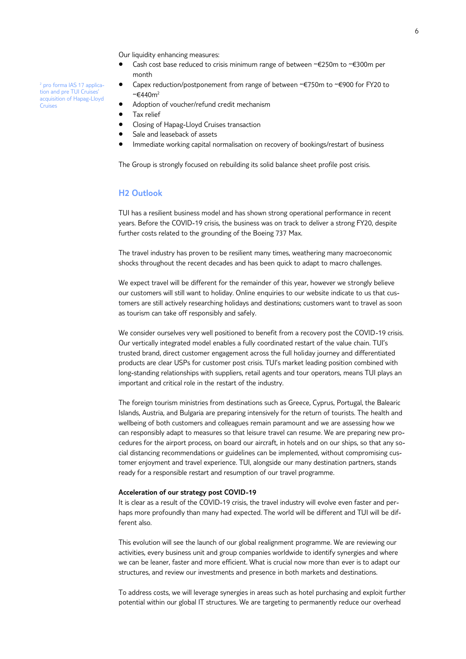Our liquidity enhancing measures:

- Cash cost base reduced to crisis minimum range of between ~€250m to ~€300m per month
- Capex reduction/postponement from range of between ~€750m to ~€900 for FY20 to ~€440m<sup>2</sup>
- Adoption of voucher/refund credit mechanism
- Tax relief

<sup>2</sup> pro forma IAS 17 application and pre TUI Cruises' acquisition of Hapag-Lloyd

Cruises

- Closing of Hapag-Lloyd Cruises transaction
- Sale and leaseback of assets
- Immediate working capital normalisation on recovery of bookings/restart of business

The Group is strongly focused on rebuilding its solid balance sheet profile post crisis.

# **H2 Outlook**

TUI has a resilient business model and has shown strong operational performance in recent years. Before the COVID-19 crisis, the business was on track to deliver a strong FY20, despite further costs related to the grounding of the Boeing 737 Max.

The travel industry has proven to be resilient many times, weathering many macroeconomic shocks throughout the recent decades and has been quick to adapt to macro challenges.

We expect travel will be different for the remainder of this year, however we strongly believe our customers will still want to holiday. Online enquiries to our website indicate to us that customers are still actively researching holidays and destinations; customers want to travel as soon as tourism can take off responsibly and safely.

We consider ourselves very well positioned to benefit from a recovery post the COVID-19 crisis. Our vertically integrated model enables a fully coordinated restart of the value chain. TUI's trusted brand, direct customer engagement across the full holiday journey and differentiated products are clear USPs for customer post crisis. TUI's market leading position combined with long-standing relationships with suppliers, retail agents and tour operators, means TUI plays an important and critical role in the restart of the industry.

The foreign tourism ministries from destinations such as Greece, Cyprus, Portugal, the Balearic Islands, Austria, and Bulgaria are preparing intensively for the return of tourists. The health and wellbeing of both customers and colleagues remain paramount and we are assessing how we can responsibly adapt to measures so that leisure travel can resume. We are preparing new procedures for the airport process, on board our aircraft, in hotels and on our ships, so that any social distancing recommendations or guidelines can be implemented, without compromising customer enjoyment and travel experience. TUI, alongside our many destination partners, stands ready for a responsible restart and resumption of our travel programme.

#### **Acceleration of our strategy post COVID-19**

It is clear as a result of the COVID-19 crisis, the travel industry will evolve even faster and perhaps more profoundly than many had expected. The world will be different and TUI will be different also.

This evolution will see the launch of our global realignment programme. We are reviewing our activities, every business unit and group companies worldwide to identify synergies and where we can be leaner, faster and more efficient. What is crucial now more than ever is to adapt our structures, and review our investments and presence in both markets and destinations.

To address costs, we will leverage synergies in areas such as hotel purchasing and exploit further potential within our global IT structures. We are targeting to permanently reduce our overhead